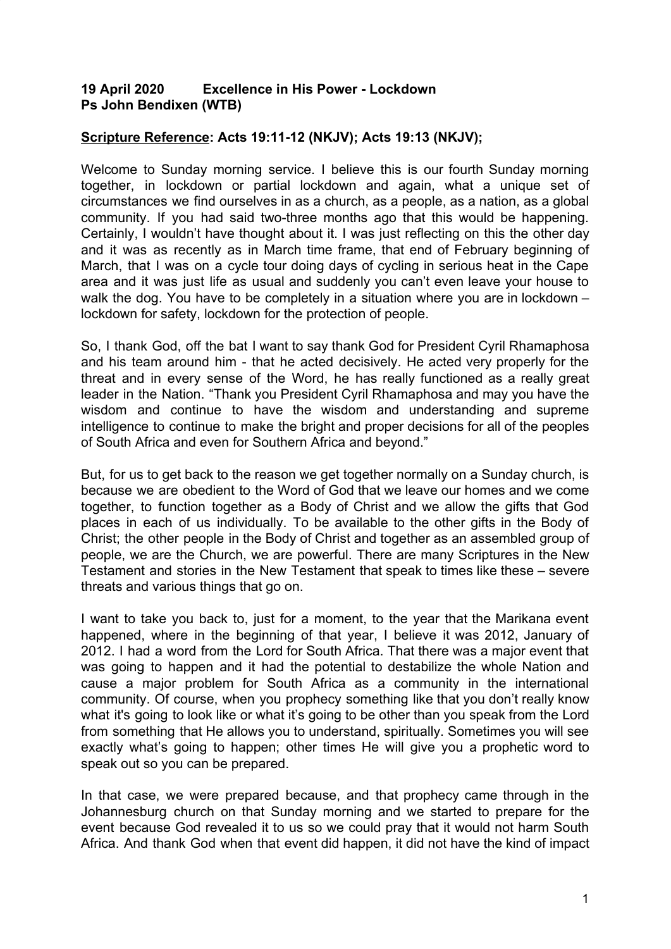## **19 April 2020 Excellence in His Power - Lockdown Ps John Bendixen (WTB)**

## **Scripture Reference: Acts 19:11-12 (NKJV); Acts 19:13 (NKJV);**

Welcome to Sunday morning service. I believe this is our fourth Sunday morning together, in lockdown or partial lockdown and again, what a unique set of circumstances we find ourselves in as a church, as a people, as a nation, as a global community. If you had said two-three months ago that this would be happening. Certainly, I wouldn't have thought about it. I was just reflecting on this the other day and it was as recently as in March time frame, that end of February beginning of March, that I was on a cycle tour doing days of cycling in serious heat in the Cape area and it was just life as usual and suddenly you can't even leave your house to walk the dog. You have to be completely in a situation where you are in lockdown – lockdown for safety, lockdown for the protection of people.

So, I thank God, off the bat I want to say thank God for President Cyril Rhamaphosa and his team around him - that he acted decisively. He acted very properly for the threat and in every sense of the Word, he has really functioned as a really great leader in the Nation. "Thank you President Cyril Rhamaphosa and may you have the wisdom and continue to have the wisdom and understanding and supreme intelligence to continue to make the bright and proper decisions for all of the peoples of South Africa and even for Southern Africa and beyond."

But, for us to get back to the reason we get together normally on a Sunday church, is because we are obedient to the Word of God that we leave our homes and we come together, to function together as a Body of Christ and we allow the gifts that God places in each of us individually. To be available to the other gifts in the Body of Christ; the other people in the Body of Christ and together as an assembled group of people, we are the Church, we are powerful. There are many Scriptures in the New Testament and stories in the New Testament that speak to times like these – severe threats and various things that go on.

I want to take you back to, just for a moment, to the year that the Marikana event happened, where in the beginning of that year, I believe it was 2012, January of 2012. I had a word from the Lord for South Africa. That there was a major event that was going to happen and it had the potential to destabilize the whole Nation and cause a major problem for South Africa as a community in the international community. Of course, when you prophecy something like that you don't really know what it's going to look like or what it's going to be other than you speak from the Lord from something that He allows you to understand, spiritually. Sometimes you will see exactly what's going to happen; other times He will give you a prophetic word to speak out so you can be prepared.

In that case, we were prepared because, and that prophecy came through in the Johannesburg church on that Sunday morning and we started to prepare for the event because God revealed it to us so we could pray that it would not harm South Africa. And thank God when that event did happen, it did not have the kind of impact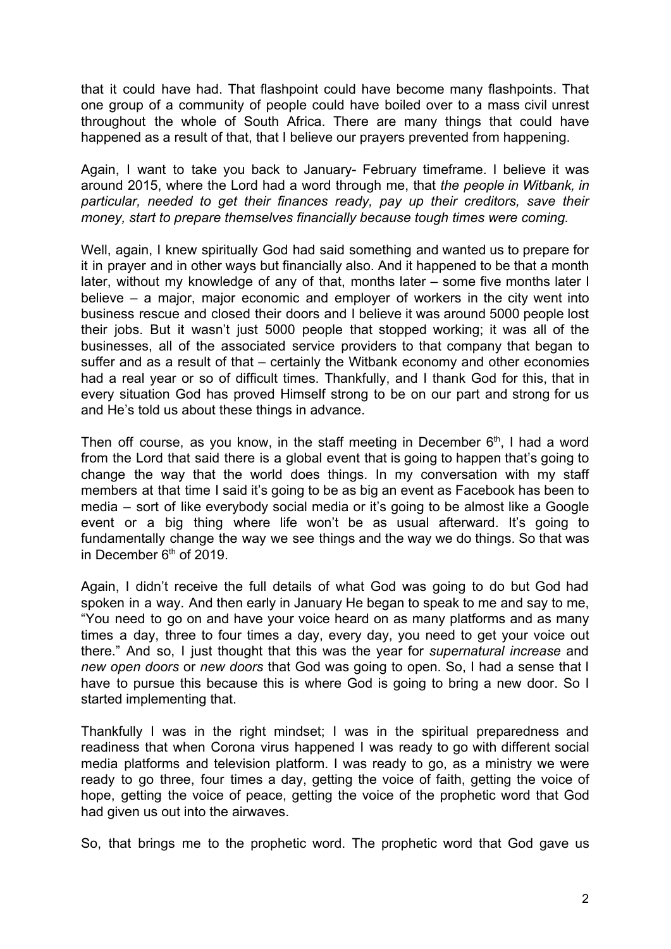that it could have had. That flashpoint could have become many flashpoints. That one group of a community of people could have boiled over to a mass civil unrest throughout the whole of South Africa. There are many things that could have happened as a result of that, that I believe our prayers prevented from happening.

Again, I want to take you back to January- February timeframe. I believe it was around 2015, where the Lord had a word through me, that *the people in Witbank, in particular, needed to get their finances ready, pay up their creditors, save their money, start to prepare themselves financially because tough times were coming.*

Well, again, I knew spiritually God had said something and wanted us to prepare for it in prayer and in other ways but financially also. And it happened to be that a month later, without my knowledge of any of that, months later – some five months later I believe – a major, major economic and employer of workers in the city went into business rescue and closed their doors and I believe it was around 5000 people lost their jobs. But it wasn't just 5000 people that stopped working; it was all of the businesses, all of the associated service providers to that company that began to suffer and as a result of that – certainly the Witbank economy and other economies had a real year or so of difficult times. Thankfully, and I thank God for this, that in every situation God has proved Himself strong to be on our part and strong for us and He's told us about these things in advance.

Then off course, as you know, in the staff meeting in December  $6<sup>th</sup>$ , I had a word from the Lord that said there is a global event that is going to happen that's going to change the way that the world does things. In my conversation with my staff members at that time I said it's going to be as big an event as Facebook has been to media – sort of like everybody social media or it's going to be almost like a Google event or a big thing where life won't be as usual afterward. It's going to fundamentally change the way we see things and the way we do things. So that was in December 6<sup>th</sup> of 2019.

Again, I didn't receive the full details of what God was going to do but God had spoken in a way. And then early in January He began to speak to me and say to me, "You need to go on and have your voice heard on as many platforms and as many times a day, three to four times a day, every day, you need to get your voice out there." And so, I just thought that this was the year for *supernatural increase* and *new open doors* or *new doors* that God was going to open. So, I had a sense that I have to pursue this because this is where God is going to bring a new door. So I started implementing that.

Thankfully I was in the right mindset; I was in the spiritual preparedness and readiness that when Corona virus happened I was ready to go with different social media platforms and television platform. I was ready to go, as a ministry we were ready to go three, four times a day, getting the voice of faith, getting the voice of hope, getting the voice of peace, getting the voice of the prophetic word that God had given us out into the airwaves.

So, that brings me to the prophetic word. The prophetic word that God gave us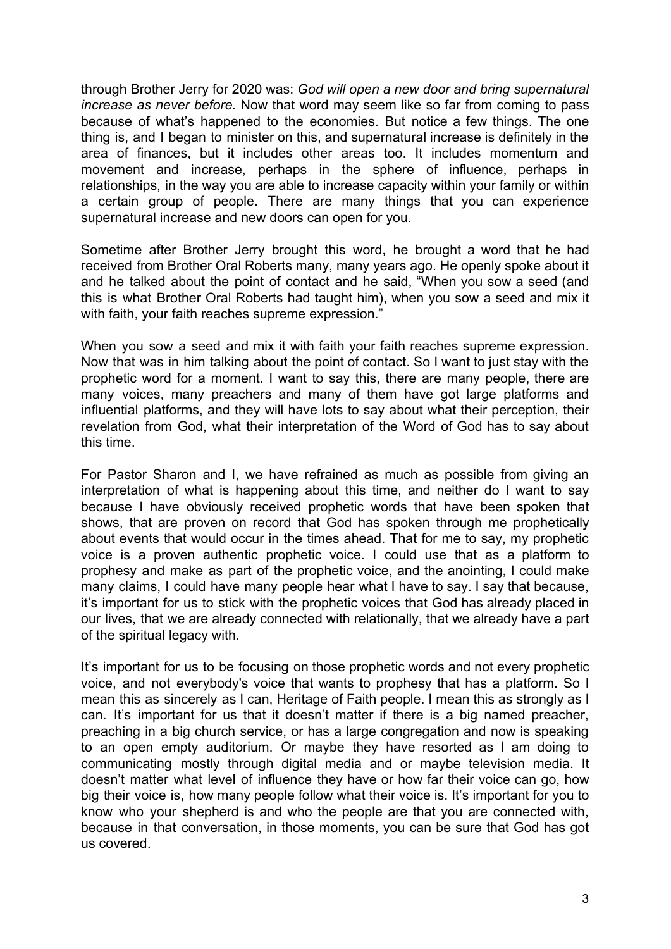through Brother Jerry for 2020 was: *God will open a new door and bring supernatural increase as never before.* Now that word may seem like so far from coming to pass because of what's happened to the economies. But notice a few things. The one thing is, and I began to minister on this, and supernatural increase is definitely in the area of finances, but it includes other areas too. It includes momentum and movement and increase, perhaps in the sphere of influence, perhaps in relationships, in the way you are able to increase capacity within your family or within a certain group of people. There are many things that you can experience supernatural increase and new doors can open for you.

Sometime after Brother Jerry brought this word, he brought a word that he had received from Brother Oral Roberts many, many years ago. He openly spoke about it and he talked about the point of contact and he said, "When you sow a seed (and this is what Brother Oral Roberts had taught him), when you sow a seed and mix it with faith, your faith reaches supreme expression."

When you sow a seed and mix it with faith your faith reaches supreme expression. Now that was in him talking about the point of contact. So I want to just stay with the prophetic word for a moment. I want to say this, there are many people, there are many voices, many preachers and many of them have got large platforms and influential platforms, and they will have lots to say about what their perception, their revelation from God, what their interpretation of the Word of God has to say about this time.

For Pastor Sharon and I, we have refrained as much as possible from giving an interpretation of what is happening about this time, and neither do I want to say because I have obviously received prophetic words that have been spoken that shows, that are proven on record that God has spoken through me prophetically about events that would occur in the times ahead. That for me to say, my prophetic voice is a proven authentic prophetic voice. I could use that as a platform to prophesy and make as part of the prophetic voice, and the anointing, I could make many claims, I could have many people hear what I have to say. I say that because, it's important for us to stick with the prophetic voices that God has already placed in our lives, that we are already connected with relationally, that we already have a part of the spiritual legacy with.

It's important for us to be focusing on those prophetic words and not every prophetic voice, and not everybody's voice that wants to prophesy that has a platform. So I mean this as sincerely as I can, Heritage of Faith people. I mean this as strongly as I can. It's important for us that it doesn't matter if there is a big named preacher, preaching in a big church service, or has a large congregation and now is speaking to an open empty auditorium. Or maybe they have resorted as I am doing to communicating mostly through digital media and or maybe television media. It doesn't matter what level of influence they have or how far their voice can go, how big their voice is, how many people follow what their voice is. It's important for you to know who your shepherd is and who the people are that you are connected with, because in that conversation, in those moments, you can be sure that God has got us covered.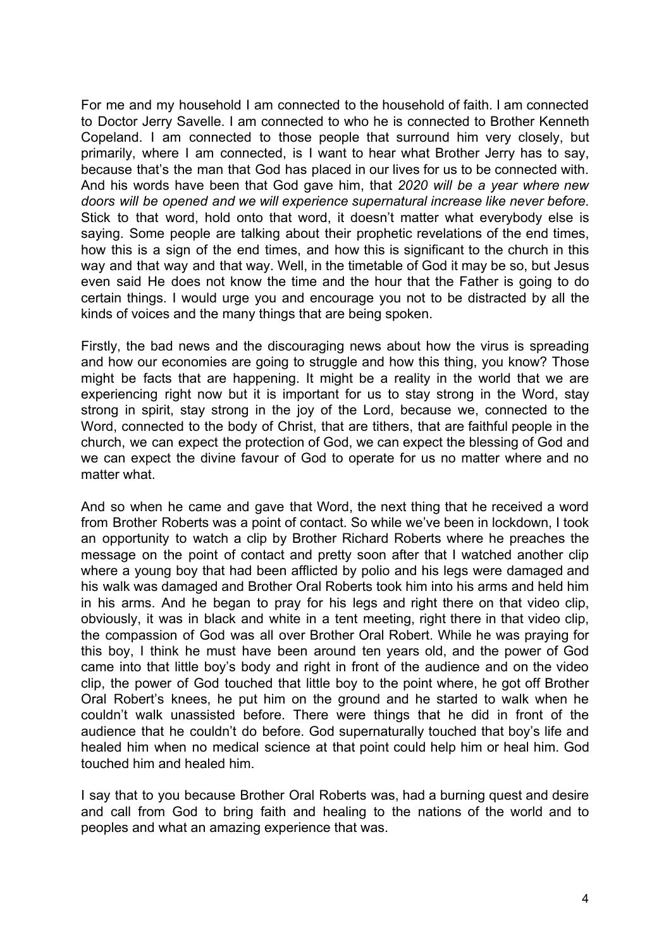For me and my household I am connected to the household of faith. I am connected to Doctor Jerry Savelle. I am connected to who he is connected to Brother Kenneth Copeland. I am connected to those people that surround him very closely, but primarily, where I am connected, is I want to hear what Brother Jerry has to say, because that's the man that God has placed in our lives for us to be connected with. And his words have been that God gave him, that *2020 will be a year where new doors will be opened and we will experience supernatural increase like never before.* Stick to that word, hold onto that word, it doesn't matter what everybody else is saying. Some people are talking about their prophetic revelations of the end times, how this is a sign of the end times, and how this is significant to the church in this way and that way and that way. Well, in the timetable of God it may be so, but Jesus even said He does not know the time and the hour that the Father is going to do certain things. I would urge you and encourage you not to be distracted by all the kinds of voices and the many things that are being spoken.

Firstly, the bad news and the discouraging news about how the virus is spreading and how our economies are going to struggle and how this thing, you know? Those might be facts that are happening. It might be a reality in the world that we are experiencing right now but it is important for us to stay strong in the Word, stay strong in spirit, stay strong in the joy of the Lord, because we, connected to the Word, connected to the body of Christ, that are tithers, that are faithful people in the church, we can expect the protection of God, we can expect the blessing of God and we can expect the divine favour of God to operate for us no matter where and no matter what.

And so when he came and gave that Word, the next thing that he received a word from Brother Roberts was a point of contact. So while we've been in lockdown, I took an opportunity to watch a clip by Brother Richard Roberts where he preaches the message on the point of contact and pretty soon after that I watched another clip where a young boy that had been afflicted by polio and his legs were damaged and his walk was damaged and Brother Oral Roberts took him into his arms and held him in his arms. And he began to pray for his legs and right there on that video clip, obviously, it was in black and white in a tent meeting, right there in that video clip, the compassion of God was all over Brother Oral Robert. While he was praying for this boy, I think he must have been around ten years old, and the power of God came into that little boy's body and right in front of the audience and on the video clip, the power of God touched that little boy to the point where, he got off Brother Oral Robert's knees, he put him on the ground and he started to walk when he couldn't walk unassisted before. There were things that he did in front of the audience that he couldn't do before. God supernaturally touched that boy's life and healed him when no medical science at that point could help him or heal him. God touched him and healed him.

I say that to you because Brother Oral Roberts was, had a burning quest and desire and call from God to bring faith and healing to the nations of the world and to peoples and what an amazing experience that was.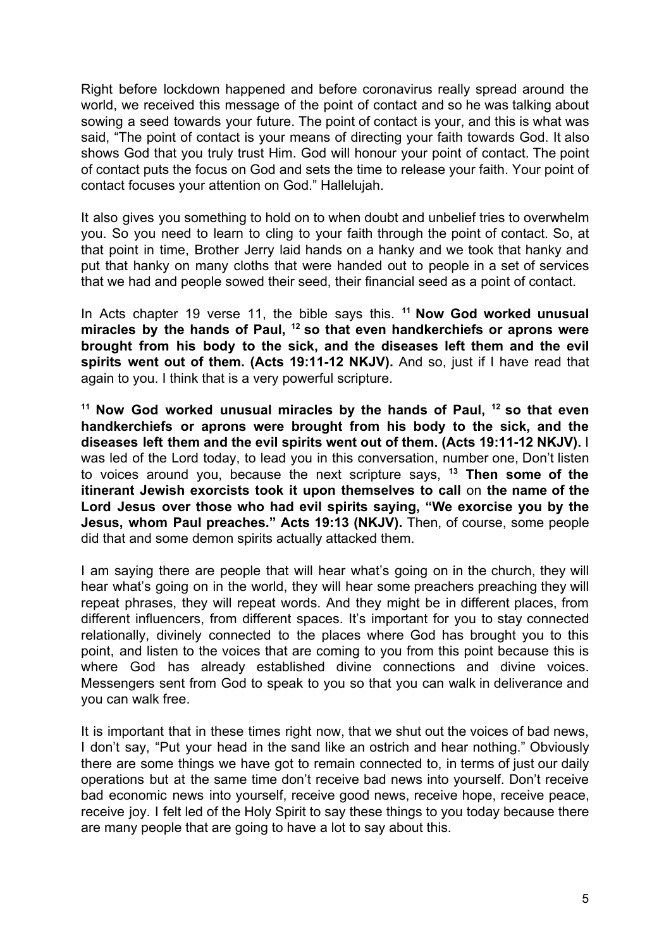Right before lockdown happened and before coronavirus really spread around the world, we received this message of the point of contact and so he was talking about sowing a seed towards your future. The point of contact is your, and this is what was said, "The point of contact is your means of directing your faith towards God. It also shows God that you truly trust Him. God will honour your point of contact. The point of contact puts the focus on God and sets the time to release your faith. Your point of contact focuses your attention on God." Hallelujah.

It also gives you something to hold on to when doubt and unbelief tries to overwhelm you. So you need to learn to cling to your faith through the point of contact. So, at that point in time, Brother Jerry laid hands on a hanky and we took that hanky and put that hanky on many cloths that were handed out to people in a set of services that we had and people sowed their seed, their financial seed as a point of contact.

In Acts chapter 19 verse 11, the bible says this. **<sup>11</sup> Now God worked unusual miracles by the hands of Paul, <sup>12</sup> so that even handkerchiefs or aprons were brought from his body to the sick, and the diseases left them and the evil spirits went out of them. (Acts 19:11-12 NKJV).** And so, just if I have read that again to you. I think that is a very powerful scripture.

**<sup>11</sup> Now God worked unusual miracles by the hands of Paul, <sup>12</sup> so that even handkerchiefs or aprons were brought from his body to the sick, and the diseases left them and the evil spirits went out of them. (Acts 19:11-12 NKJV).** I was led of the Lord today, to lead you in this conversation, number one, Don't listen to voices around you, because the next scripture says, **<sup>13</sup> Then some of the itinerant Jewish exorcists took it upon themselves to call** on **the name of the Lord Jesus over those who had evil spirits saying, "We exorcise you by the Jesus, whom Paul preaches." Acts 19:13 (NKJV).** Then, of course, some people did that and some demon spirits actually attacked them.

I am saying there are people that will hear what's going on in the church, they will hear what's going on in the world, they will hear some preachers preaching they will repeat phrases, they will repeat words. And they might be in different places, from different influencers, from different spaces. It's important for you to stay connected relationally, divinely connected to the places where God has brought you to this point, and listen to the voices that are coming to you from this point because this is where God has already established divine connections and divine voices. Messengers sent from God to speak to you so that you can walk in deliverance and you can walk free.

It is important that in these times right now, that we shut out the voices of bad news, I don't say, "Put your head in the sand like an ostrich and hear nothing." Obviously there are some things we have got to remain connected to, in terms of just our daily operations but at the same time don't receive bad news into yourself. Don't receive bad economic news into yourself, receive good news, receive hope, receive peace, receive joy. I felt led of the Holy Spirit to say these things to you today because there are many people that are going to have a lot to say about this.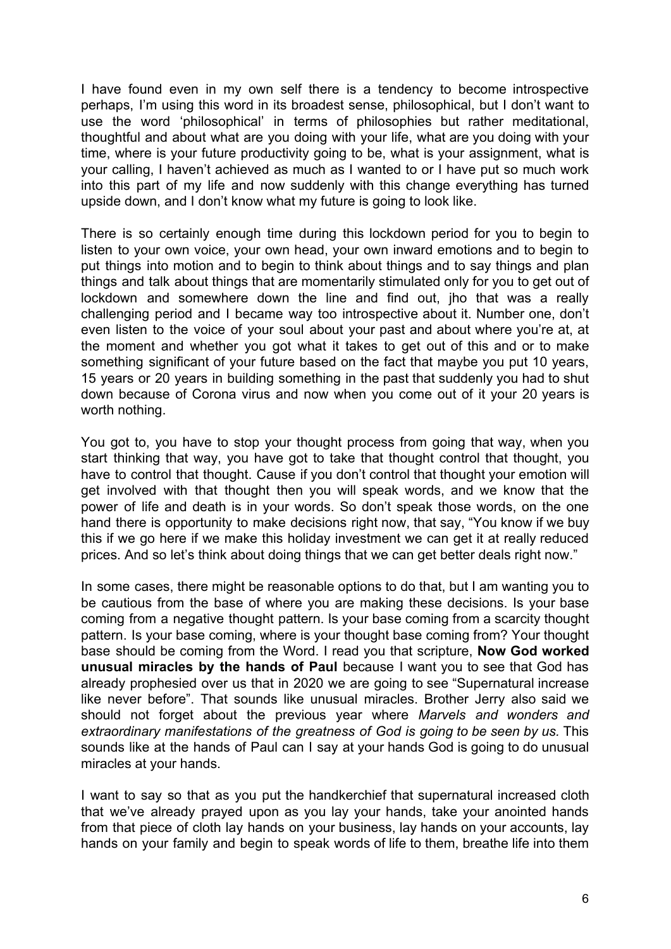I have found even in my own self there is a tendency to become introspective perhaps, I'm using this word in its broadest sense, philosophical, but I don't want to use the word 'philosophical' in terms of philosophies but rather meditational, thoughtful and about what are you doing with your life, what are you doing with your time, where is your future productivity going to be, what is your assignment, what is your calling, I haven't achieved as much as I wanted to or I have put so much work into this part of my life and now suddenly with this change everything has turned upside down, and I don't know what my future is going to look like.

There is so certainly enough time during this lockdown period for you to begin to listen to your own voice, your own head, your own inward emotions and to begin to put things into motion and to begin to think about things and to say things and plan things and talk about things that are momentarily stimulated only for you to get out of lockdown and somewhere down the line and find out, jho that was a really challenging period and I became way too introspective about it. Number one, don't even listen to the voice of your soul about your past and about where you're at, at the moment and whether you got what it takes to get out of this and or to make something significant of your future based on the fact that maybe you put 10 years, 15 years or 20 years in building something in the past that suddenly you had to shut down because of Corona virus and now when you come out of it your 20 years is worth nothing.

You got to, you have to stop your thought process from going that way, when you start thinking that way, you have got to take that thought control that thought, you have to control that thought. Cause if you don't control that thought your emotion will get involved with that thought then you will speak words, and we know that the power of life and death is in your words. So don't speak those words, on the one hand there is opportunity to make decisions right now, that say, "You know if we buy this if we go here if we make this holiday investment we can get it at really reduced prices. And so let's think about doing things that we can get better deals right now."

In some cases, there might be reasonable options to do that, but I am wanting you to be cautious from the base of where you are making these decisions. Is your base coming from a negative thought pattern. Is your base coming from a scarcity thought pattern. Is your base coming, where is your thought base coming from? Your thought base should be coming from the Word. I read you that scripture, **Now God worked unusual miracles by the hands of Paul** because I want you to see that God has already prophesied over us that in 2020 we are going to see "Supernatural increase like never before". That sounds like unusual miracles. Brother Jerry also said we should not forget about the previous year where *Marvels and wonders and extraordinary manifestations of the greatness of God is going to be seen by us.* This sounds like at the hands of Paul can I say at your hands God is going to do unusual miracles at your hands.

I want to say so that as you put the handkerchief that supernatural increased cloth that we've already prayed upon as you lay your hands, take your anointed hands from that piece of cloth lay hands on your business, lay hands on your accounts, lay hands on your family and begin to speak words of life to them, breathe life into them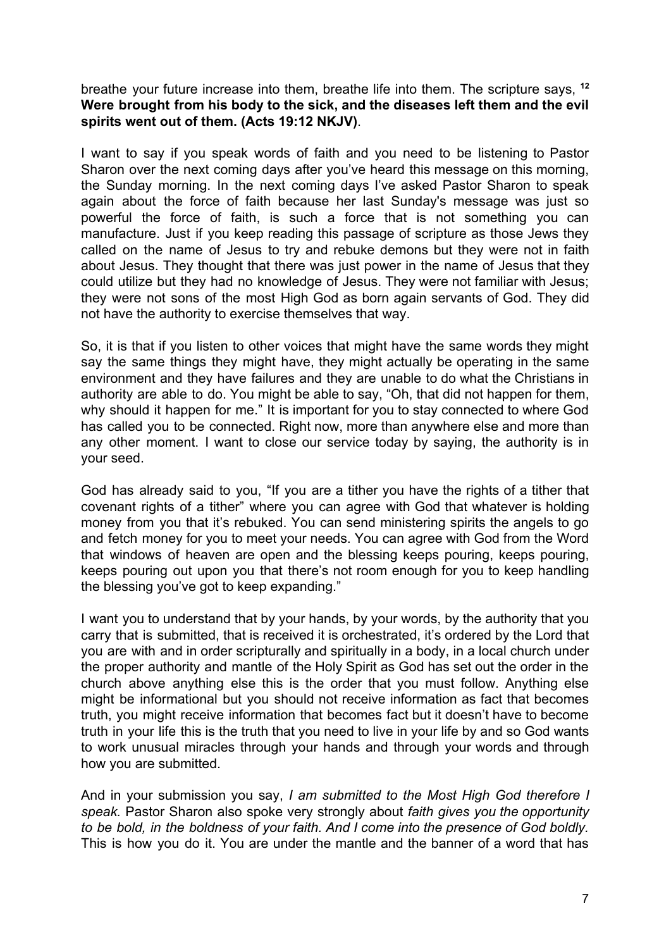breathe your future increase into them, breathe life into them. The scripture says, **<sup>12</sup> Were brought from his body to the sick, and the diseases left them and the evil spirits went out of them. (Acts 19:12 NKJV)**.

I want to say if you speak words of faith and you need to be listening to Pastor Sharon over the next coming days after you've heard this message on this morning, the Sunday morning. In the next coming days I've asked Pastor Sharon to speak again about the force of faith because her last Sunday's message was just so powerful the force of faith, is such a force that is not something you can manufacture. Just if you keep reading this passage of scripture as those Jews they called on the name of Jesus to try and rebuke demons but they were not in faith about Jesus. They thought that there was just power in the name of Jesus that they could utilize but they had no knowledge of Jesus. They were not familiar with Jesus; they were not sons of the most High God as born again servants of God. They did not have the authority to exercise themselves that way.

So, it is that if you listen to other voices that might have the same words they might say the same things they might have, they might actually be operating in the same environment and they have failures and they are unable to do what the Christians in authority are able to do. You might be able to say, "Oh, that did not happen for them, why should it happen for me." It is important for you to stay connected to where God has called you to be connected. Right now, more than anywhere else and more than any other moment. I want to close our service today by saying, the authority is in your seed.

God has already said to you, "If you are a tither you have the rights of a tither that covenant rights of a tither" where you can agree with God that whatever is holding money from you that it's rebuked. You can send ministering spirits the angels to go and fetch money for you to meet your needs. You can agree with God from the Word that windows of heaven are open and the blessing keeps pouring, keeps pouring, keeps pouring out upon you that there's not room enough for you to keep handling the blessing you've got to keep expanding."

I want you to understand that by your hands, by your words, by the authority that you carry that is submitted, that is received it is orchestrated, it's ordered by the Lord that you are with and in order scripturally and spiritually in a body, in a local church under the proper authority and mantle of the Holy Spirit as God has set out the order in the church above anything else this is the order that you must follow. Anything else might be informational but you should not receive information as fact that becomes truth, you might receive information that becomes fact but it doesn't have to become truth in your life this is the truth that you need to live in your life by and so God wants to work unusual miracles through your hands and through your words and through how you are submitted.

And in your submission you say, *I am submitted to the Most High God therefore I speak.* Pastor Sharon also spoke very strongly about *faith gives you the opportunity to be bold, in the boldness of your faith. And I come into the presence of God boldly.* This is how you do it. You are under the mantle and the banner of a word that has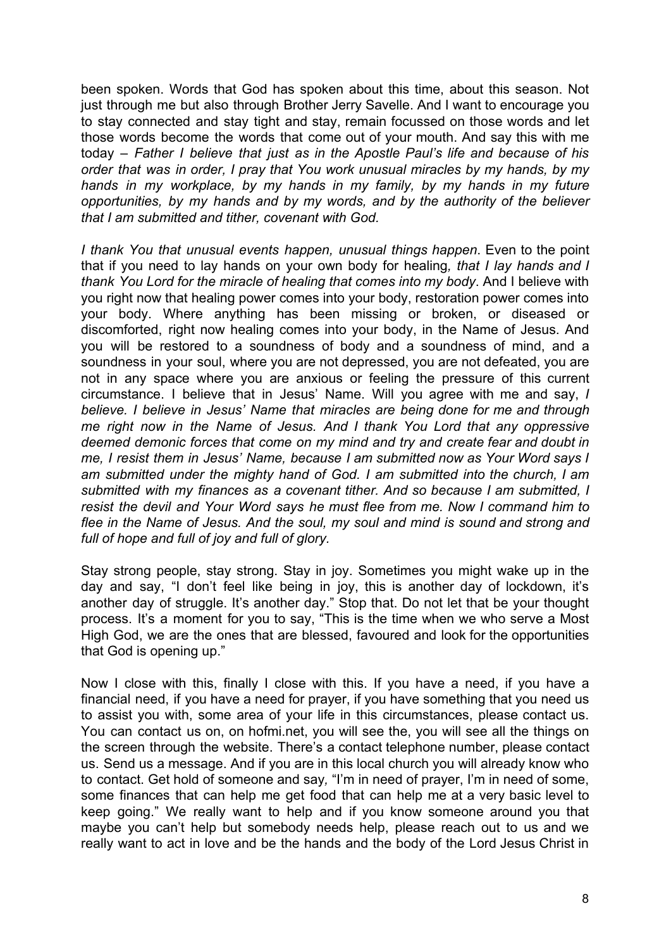been spoken. Words that God has spoken about this time, about this season. Not just through me but also through Brother Jerry Savelle. And I want to encourage you to stay connected and stay tight and stay, remain focussed on those words and let those words become the words that come out of your mouth. And say this with me today – *Father I believe that just as in the Apostle Paul's life and because of his order that was in order, I pray that You work unusual miracles by my hands, by my hands in my workplace, by my hands in my family, by my hands in my future opportunities, by my hands and by my words, and by the authority of the believer that I am submitted and tither, covenant with God.*

*I thank You that unusual events happen, unusual things happen*. Even to the point that if you need to lay hands on your own body for healing*, that I lay hands and I thank You Lord for the miracle of healing that comes into my body*. And I believe with you right now that healing power comes into your body, restoration power comes into your body. Where anything has been missing or broken, or diseased or discomforted, right now healing comes into your body, in the Name of Jesus. And you will be restored to a soundness of body and a soundness of mind, and a soundness in your soul, where you are not depressed, you are not defeated, you are not in any space where you are anxious or feeling the pressure of this current circumstance. I believe that in Jesus' Name. Will you agree with me and say, *I believe. I believe in Jesus' Name that miracles are being done for me and through me right now in the Name of Jesus. And I thank You Lord that any oppressive deemed demonic forces that come on my mind and try and create fear and doubt in me, I resist them in Jesus' Name, because I am submitted now as Your Word says I am submitted under the mighty hand of God. I am submitted into the church, I am submitted with my finances as a covenant tither. And so because I am submitted, I resist the devil and Your Word says he must flee from me. Now I command him to flee in the Name of Jesus. And the soul, my soul and mind is sound and strong and full of hope and full of joy and full of glory.*

Stay strong people, stay strong. Stay in joy. Sometimes you might wake up in the day and say, "I don't feel like being in joy, this is another day of lockdown, it's another day of struggle. It's another day." Stop that. Do not let that be your thought process. It's a moment for you to say, "This is the time when we who serve a Most High God, we are the ones that are blessed, favoured and look for the opportunities that God is opening up."

Now I close with this, finally I close with this. If you have a need, if you have a financial need, if you have a need for prayer, if you have something that you need us to assist you with, some area of your life in this circumstances, please contact us. You can contact us on, on hofmi.net, you will see the, you will see all the things on the screen through the website. There's a contact telephone number, please contact us. Send us a message. And if you are in this local church you will already know who to contact. Get hold of someone and say*,* "I'm in need of prayer, I'm in need of some, some finances that can help me get food that can help me at a very basic level to keep going." We really want to help and if you know someone around you that maybe you can't help but somebody needs help, please reach out to us and we really want to act in love and be the hands and the body of the Lord Jesus Christ in